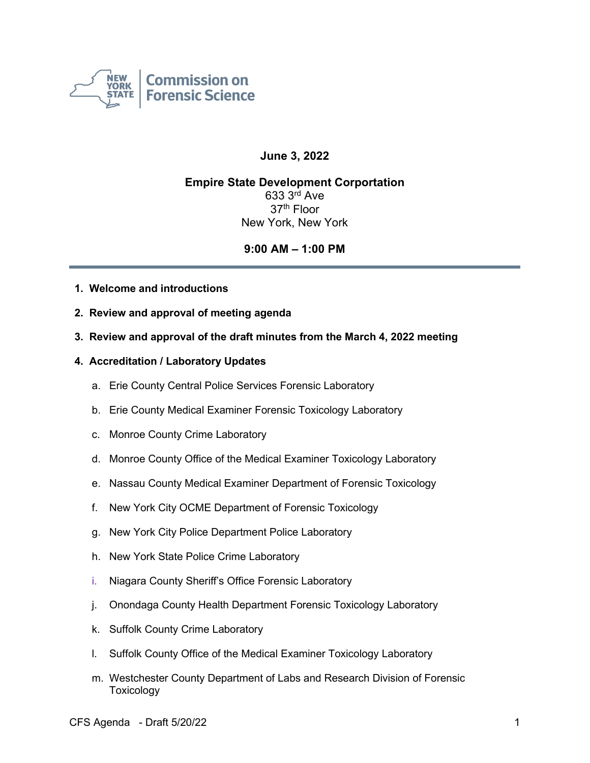

## **June 3, 2022**

# **Empire State Development Corportation** 633 3rd Ave 37th Floor New York, New York

# **9:00 AM – 1:00 PM**

- **1. Welcome and introductions**
- **2. Review and approval of meeting agenda**
- **3. Review and approval of the draft minutes from the March 4, 2022 meeting**

#### **4. Accreditation / Laboratory Updates**

- a. Erie County Central Police Services Forensic Laboratory
- b. Erie County Medical Examiner Forensic Toxicology Laboratory
- c. Monroe County Crime Laboratory
- d. Monroe County Office of the Medical Examiner Toxicology Laboratory
- e. Nassau County Medical Examiner Department of Forensic Toxicology
- f. New York City OCME Department of Forensic Toxicology
- g. New York City Police Department Police Laboratory
- h. New York State Police Crime Laboratory
- i. Niagara County Sheriff's Office Forensic Laboratory
- j. Onondaga County Health Department Forensic Toxicology Laboratory
- k. Suffolk County Crime Laboratory
- l. Suffolk County Office of the Medical Examiner Toxicology Laboratory
- m. Westchester County Department of Labs and Research Division of Forensic **Toxicology**